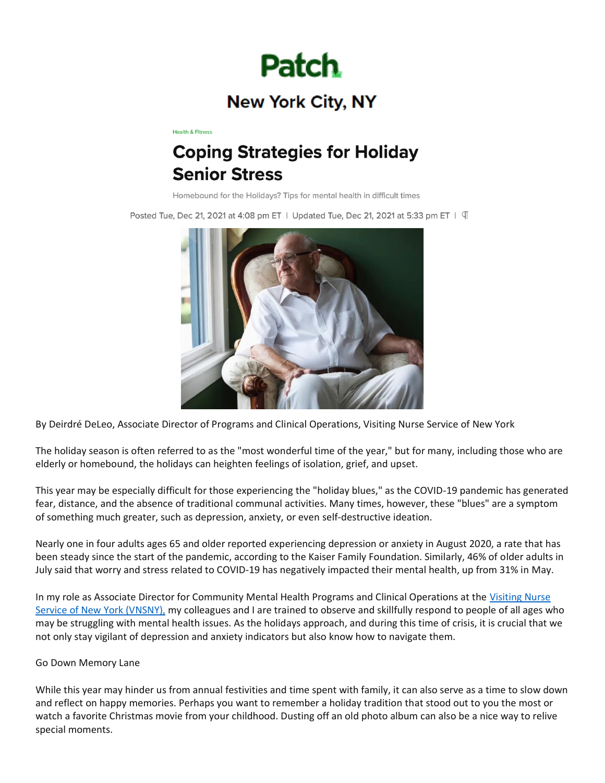

# **New York City, NY**

**Health & Fitness** 

# **Coping Strategies for Holiday Senior Stress**

Homebound for the Holidays? Tips for mental health in difficult times

Posted Tue, Dec 21, 2021 at 4:08 pm ET | Updated Tue, Dec 21, 2021 at 5:33 pm ET |  $\P$ 



By Deirdré DeLeo, Associate Director of Programs and Clinical Operations, Visiting Nurse Service of New York

The holiday season is often referred to as the "most wonderful time of the year," but for many, including those who are elderly or homebound, the holidays can heighten feelings of isolation, grief, and upset.

This year may be especially difficult for those experiencing the "holiday blues," as the COVID-19 pandemic has generated fear, distance, and the absence of traditional communal activities. Many times, however, these "blues" are a symptom of something much greater, such as depression, anxiety, or even self-destructive ideation.

Nearly one in four adults ages 65 and older reported experiencing depression or anxiety in August 2020, a rate that has been steady since the start of the pandemic, according to the Kaiser Family Foundation. Similarly, 46% of older adults in July said that worry and stress related to COVID-19 has negatively impacted their mental health, up from 31% in May.

In my role as Associate Director for Community Mental Health Programs and Clinical Operations at the [Visiting Nurse](https://kingcompr-my.sharepoint.com/personal/michael_richards_kingcompr_com/Documents/P%2520Drive%2520as%2520of%25207-9-20/266%2520-%2520VNSNY/2020%2520Folder/2020%2520Bylines/vnsny.org)  [Service of New York \(VNSNY\),](https://kingcompr-my.sharepoint.com/personal/michael_richards_kingcompr_com/Documents/P%2520Drive%2520as%2520of%25207-9-20/266%2520-%2520VNSNY/2020%2520Folder/2020%2520Bylines/vnsny.org) my colleagues and I are trained to observe and skillfully respond to people of all ages who may be struggling with mental health issues. As the holidays approach, and during this time of crisis, it is crucial that we not only stay vigilant of depression and anxiety indicators but also know how to navigate them.

### Go Down Memory Lane

While this year may hinder us from annual festivities and time spent with family, it can also serve as a time to slow down and reflect on happy memories. Perhaps you want to remember a holiday tradition that stood out to you the most or watch a favorite Christmas movie from your childhood. Dusting off an old photo album can also be a nice way to relive special moments.